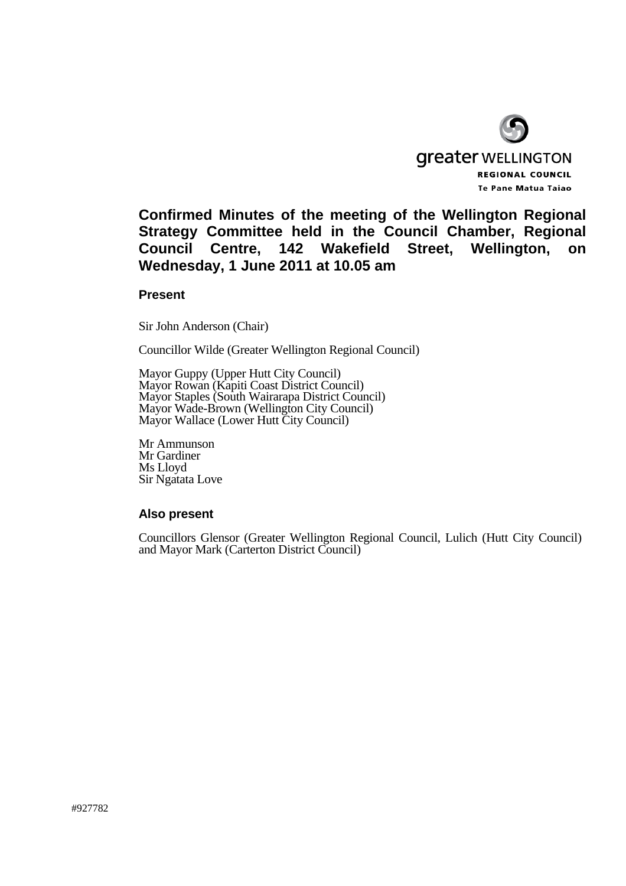

**Confirmed Minutes of the meeting of the Wellington Regional Strategy Committee held in the Council Chamber, Regional Council Centre, 142 Wakefield Street, Wellington, on Wednesday, 1 June 2011 at 10.05 am** 

#### **Present**

Sir John Anderson (Chair)

Councillor Wilde (Greater Wellington Regional Council)

Mayor Guppy (Upper Hutt City Council) Mayor Rowan (Kapiti Coast District Council) Mayor Staples (South Wairarapa District Council) Mayor Wade-Brown (Wellington City Council) Mayor Wallace (Lower Hutt City Council)

Mr Ammunson Mr Gardiner Ms Lloyd Sir Ngatata Love

## **Also present**

Councillors Glensor (Greater Wellington Regional Council, Lulich (Hutt City Council) and Mayor Mark (Carterton District Council)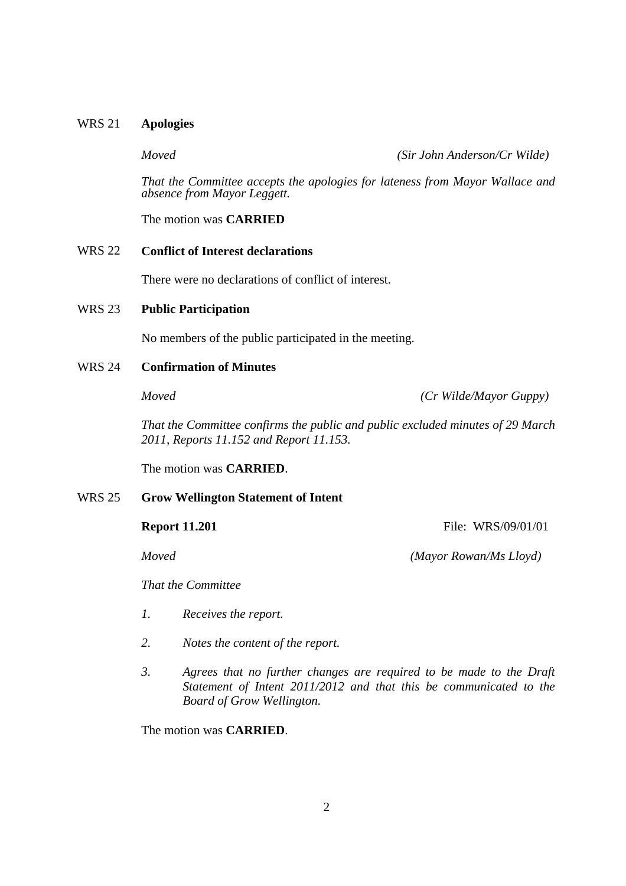## WRS 21 **Apologies**

*Moved (Sir John Anderson/Cr Wilde)*

 *That the Committee accepts the apologies for lateness from Mayor Wallace and absence from Mayor Leggett.*

The motion was **CARRIED**

## WRS 22 **Conflict of Interest declarations**

There were no declarations of conflict of interest.

### WRS 23 **Public Participation**

No members of the public participated in the meeting.

### WRS 24 **Confirmation of Minutes**

*Moved (Cr Wilde/Mayor Guppy)*

*That the Committee confirms the public and public excluded minutes of 29 March 2011, Reports 11.152 and Report 11.153.*

The motion was **CARRIED**.

### WRS 25 **Grow Wellington Statement of Intent**

**Report 11.201 File:**  $WRS/09/01/01$ 

*Moved (Mayor Rowan/Ms Lloyd)*

*That the Committee*

- *1. Receives the report.*
- *2. Notes the content of the report.*
- *3. Agrees that no further changes are required to be made to the Draft Statement of Intent 2011/2012 and that this be communicated to the Board of Grow Wellington.*

The motion was **CARRIED**.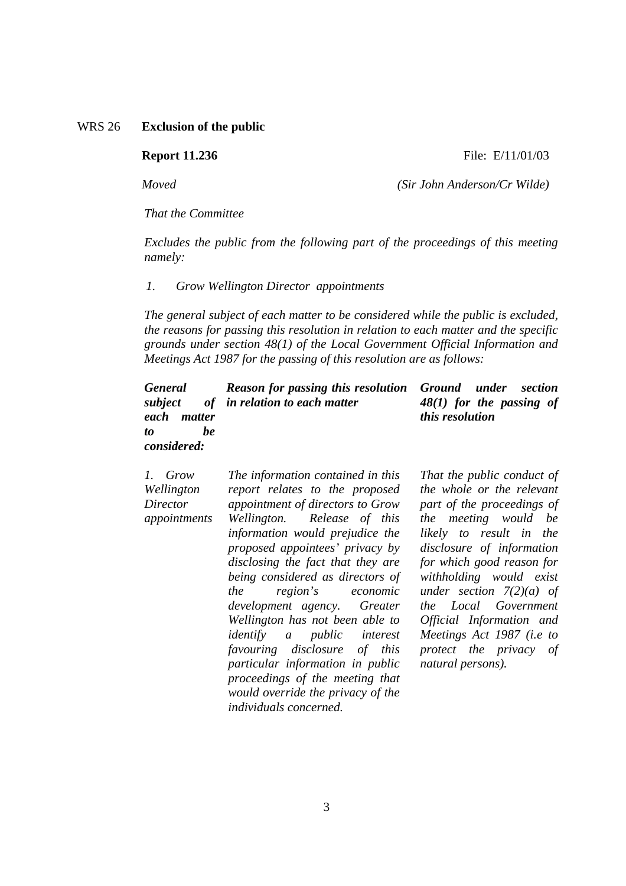## WRS 26 **Exclusion of the public**

#### **Report 11.236 File: E**/11/01/03

*Moved (Sir John Anderson/Cr Wilde)*

*That the Committee* 

 *Excludes the public from the following part of the proceedings of this meeting namely:* 

#### *1. Grow Wellington Director appointments*

*The general subject of each matter to be considered while the public is excluded, the reasons for passing this resolution in relation to each matter and the specific grounds under section 48(1) of the Local Government Official Information and Meetings Act 1987 for the passing of this resolution are as follows:* 

| <b>General</b><br>subject<br>each<br>matter<br>be<br>to<br>considered: | <b>Reason for passing this resolution</b><br>of in relation to each matter                                                                                                                                                                                                                                           | <b>Ground</b><br>under<br>section<br>$48(1)$ for the passing of<br>this resolution                                                                                                                                                                          |
|------------------------------------------------------------------------|----------------------------------------------------------------------------------------------------------------------------------------------------------------------------------------------------------------------------------------------------------------------------------------------------------------------|-------------------------------------------------------------------------------------------------------------------------------------------------------------------------------------------------------------------------------------------------------------|
| 1. Grow<br>Wellington<br>Director<br>appointments                      | The information contained in this<br>report relates to the proposed<br>appointment of directors to Grow<br>Wellington. Release of this<br>information would prejudice the<br>proposed appointees' privacy by<br>disclosing the fact that they are<br>being considered as directors of<br>the<br>region's<br>economic | That the public conduct of<br>the whole or the relevant<br>part of the proceedings of<br>the meeting would be<br>likely to result in the<br>disclosure of information<br>for which good reason for<br>withholding would exist<br>under section $7(2)(a)$ of |

*the region's economic development agency. Greater Wellington has not been able to identify a public interest favouring disclosure of this particular information in public proceedings of the meeting that would override the privacy of the individuals concerned.* 

*Official Information and Meetings Act 1987 (i.e to protect the privacy of natural persons).* 

*the Local Government*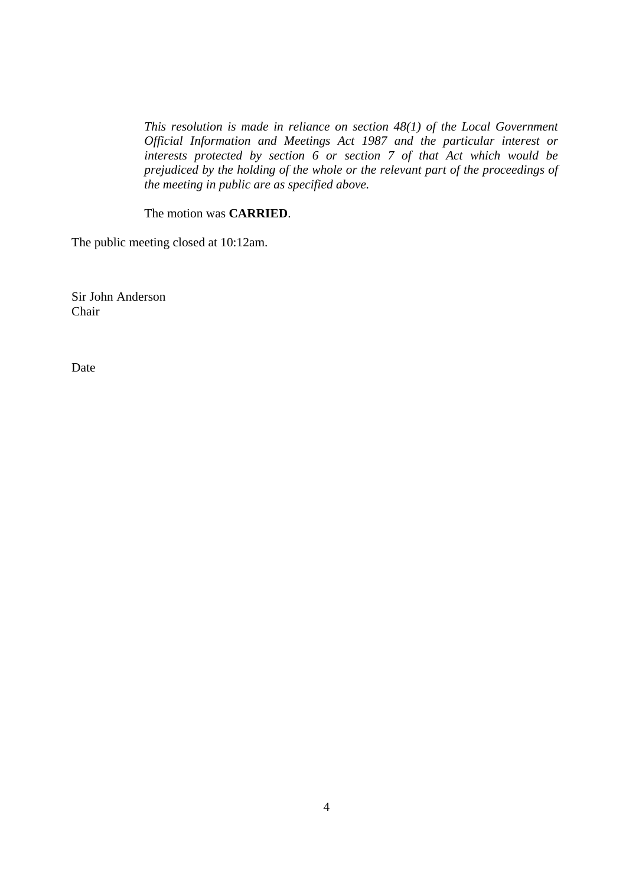*This resolution is made in reliance on section 48(1) of the Local Government Official Information and Meetings Act 1987 and the particular interest or interests protected by section 6 or section 7 of that Act which would be prejudiced by the holding of the whole or the relevant part of the proceedings of the meeting in public are as specified above.* 

The motion was **CARRIED**.

The public meeting closed at 10:12am.

Sir John Anderson Chair

Date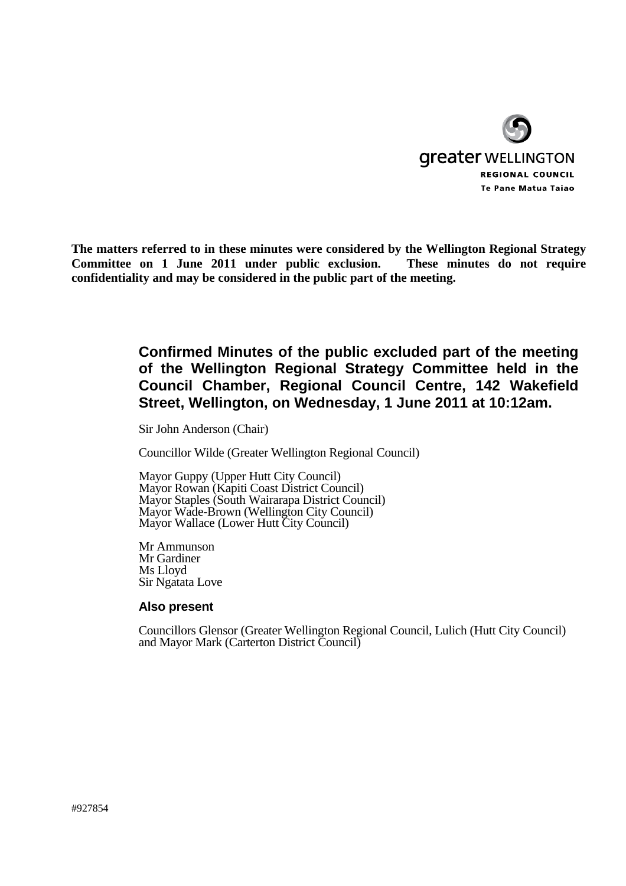

**The matters referred to in these minutes were considered by the Wellington Regional Strategy Committee on 1 June 2011 under public exclusion. These minutes do not require confidentiality and may be considered in the public part of the meeting.** 

# **Confirmed Minutes of the public excluded part of the meeting of the Wellington Regional Strategy Committee held in the Council Chamber, Regional Council Centre, 142 Wakefield Street, Wellington, on Wednesday, 1 June 2011 at 10:12am.**

Sir John Anderson (Chair)

Councillor Wilde (Greater Wellington Regional Council)

Mayor Guppy (Upper Hutt City Council) Mayor Rowan (Kapiti Coast District Council) Mayor Staples (South Wairarapa District Council) Mayor Wade-Brown (Wellington City Council) Mayor Wallace (Lower Hutt City Council)

Mr Ammunson Mr Gardiner Ms Lloyd Sir Ngatata Love

## **Also present**

Councillors Glensor (Greater Wellington Regional Council, Lulich (Hutt City Council) and Mayor Mark (Carterton District Council)